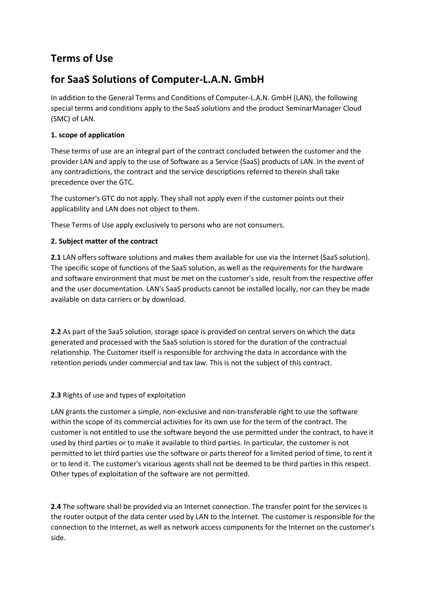# **Terms of Use**

# **for SaaS Solutions of Computer-L.A.N. GmbH**

In addition to the General Terms and Conditions of Computer-L.A.N. GmbH (LAN), the following special terms and conditions apply to the SaaS solutions and the product SeminarManager Cloud (SMC) of LAN.

## **1. scope of application**

These terms of use are an integral part of the contract concluded between the customer and the provider LAN and apply to the use of Software as a Service (SaaS) products of LAN. In the event of any contradictions, the contract and the service descriptions referred to therein shall take precedence over the GTC.

The customer's GTC do not apply. They shall not apply even if the customer points out their applicability and LAN does not object to them.

These Terms of Use apply exclusively to persons who are not consumers.

## **2. Subject matter of the contract**

**2.1** LAN offers software solutions and makes them available for use via the Internet (SaaS solution). The specific scope of functions of the SaaS solution, as well as the requirements for the hardware and software environment that must be met on the customer's side, result from the respective offer and the user documentation. LAN's SaaS products cannot be installed locally, nor can they be made available on data carriers or by download.

**2.2** As part of the SaaS solution, storage space is provided on central servers on which the data generated and processed with the SaaS solution is stored for the duration of the contractual relationship. The Customer itself is responsible for archiving the data in accordance with the retention periods under commercial and tax law. This is not the subject of this contract.

## **2.3** Rights of use and types of exploitation

LAN grants the customer a simple, non-exclusive and non-transferable right to use the software within the scope of its commercial activities for its own use for the term of the contract. The customer is not entitled to use the software beyond the use permitted under the contract, to have it used by third parties or to make it available to third parties. In particular, the customer is not permitted to let third parties use the software or parts thereof for a limited period of time, to rent it or to lend it. The customer's vicarious agents shall not be deemed to be third parties in this respect. Other types of exploitation of the software are not permitted.

**2.4** The software shall be provided via an Internet connection. The transfer point for the services is the router output of the data center used by LAN to the Internet. The customer is responsible for the connection to the Internet, as well as network access components for the Internet on the customer's side.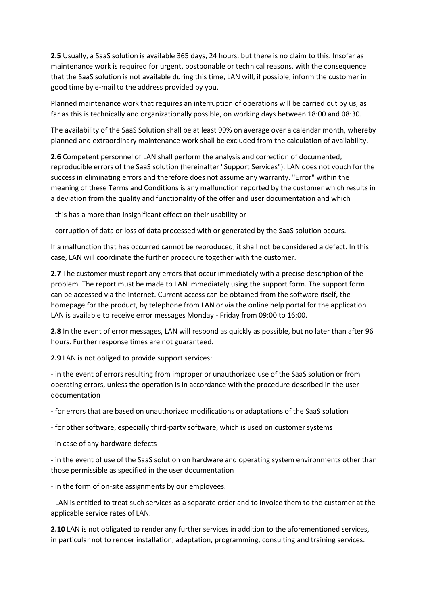**2.5** Usually, a SaaS solution is available 365 days, 24 hours, but there is no claim to this. Insofar as maintenance work is required for urgent, postponable or technical reasons, with the consequence that the SaaS solution is not available during this time, LAN will, if possible, inform the customer in good time by e-mail to the address provided by you.

Planned maintenance work that requires an interruption of operations will be carried out by us, as far as this is technically and organizationally possible, on working days between 18:00 and 08:30.

The availability of the SaaS Solution shall be at least 99% on average over a calendar month, whereby planned and extraordinary maintenance work shall be excluded from the calculation of availability.

**2.6** Competent personnel of LAN shall perform the analysis and correction of documented, reproducible errors of the SaaS solution (hereinafter "Support Services"). LAN does not vouch for the success in eliminating errors and therefore does not assume any warranty. "Error" within the meaning of these Terms and Conditions is any malfunction reported by the customer which results in a deviation from the quality and functionality of the offer and user documentation and which

- this has a more than insignificant effect on their usability or

- corruption of data or loss of data processed with or generated by the SaaS solution occurs.

If a malfunction that has occurred cannot be reproduced, it shall not be considered a defect. In this case, LAN will coordinate the further procedure together with the customer.

**2.7** The customer must report any errors that occur immediately with a precise description of the problem. The report must be made to LAN immediately using the support form. The support form can be accessed via the Internet. Current access can be obtained from the software itself, the homepage for the product, by telephone from LAN or via the online help portal for the application. LAN is available to receive error messages Monday - Friday from 09:00 to 16:00.

**2.8** In the event of error messages, LAN will respond as quickly as possible, but no later than after 96 hours. Further response times are not guaranteed.

**2.9** LAN is not obliged to provide support services:

- in the event of errors resulting from improper or unauthorized use of the SaaS solution or from operating errors, unless the operation is in accordance with the procedure described in the user documentation

- for errors that are based on unauthorized modifications or adaptations of the SaaS solution

- for other software, especially third-party software, which is used on customer systems

- in case of any hardware defects

- in the event of use of the SaaS solution on hardware and operating system environments other than those permissible as specified in the user documentation

- in the form of on-site assignments by our employees.

- LAN is entitled to treat such services as a separate order and to invoice them to the customer at the applicable service rates of LAN.

**2.10** LAN is not obligated to render any further services in addition to the aforementioned services, in particular not to render installation, adaptation, programming, consulting and training services.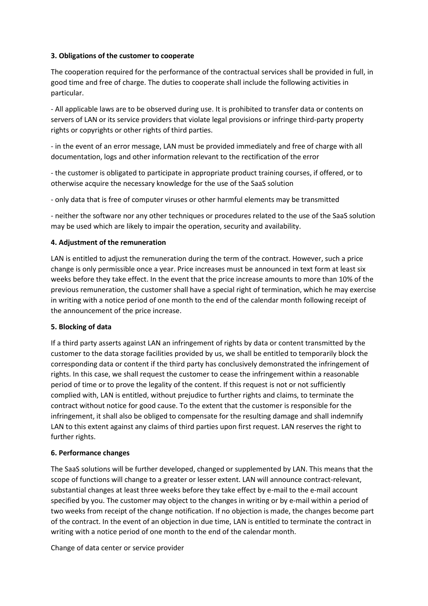#### **3. Obligations of the customer to cooperate**

The cooperation required for the performance of the contractual services shall be provided in full, in good time and free of charge. The duties to cooperate shall include the following activities in particular.

- All applicable laws are to be observed during use. It is prohibited to transfer data or contents on servers of LAN or its service providers that violate legal provisions or infringe third-party property rights or copyrights or other rights of third parties.

- in the event of an error message, LAN must be provided immediately and free of charge with all documentation, logs and other information relevant to the rectification of the error

- the customer is obligated to participate in appropriate product training courses, if offered, or to otherwise acquire the necessary knowledge for the use of the SaaS solution

- only data that is free of computer viruses or other harmful elements may be transmitted

- neither the software nor any other techniques or procedures related to the use of the SaaS solution may be used which are likely to impair the operation, security and availability.

#### **4. Adjustment of the remuneration**

LAN is entitled to adjust the remuneration during the term of the contract. However, such a price change is only permissible once a year. Price increases must be announced in text form at least six weeks before they take effect. In the event that the price increase amounts to more than 10% of the previous remuneration, the customer shall have a special right of termination, which he may exercise in writing with a notice period of one month to the end of the calendar month following receipt of the announcement of the price increase.

#### **5. Blocking of data**

If a third party asserts against LAN an infringement of rights by data or content transmitted by the customer to the data storage facilities provided by us, we shall be entitled to temporarily block the corresponding data or content if the third party has conclusively demonstrated the infringement of rights. In this case, we shall request the customer to cease the infringement within a reasonable period of time or to prove the legality of the content. If this request is not or not sufficiently complied with, LAN is entitled, without prejudice to further rights and claims, to terminate the contract without notice for good cause. To the extent that the customer is responsible for the infringement, it shall also be obliged to compensate for the resulting damage and shall indemnify LAN to this extent against any claims of third parties upon first request. LAN reserves the right to further rights.

#### **6. Performance changes**

The SaaS solutions will be further developed, changed or supplemented by LAN. This means that the scope of functions will change to a greater or lesser extent. LAN will announce contract-relevant, substantial changes at least three weeks before they take effect by e-mail to the e-mail account specified by you. The customer may object to the changes in writing or by e-mail within a period of two weeks from receipt of the change notification. If no objection is made, the changes become part of the contract. In the event of an objection in due time, LAN is entitled to terminate the contract in writing with a notice period of one month to the end of the calendar month.

Change of data center or service provider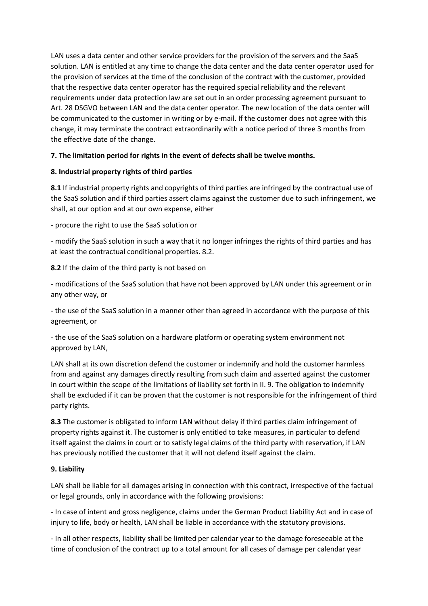LAN uses a data center and other service providers for the provision of the servers and the SaaS solution. LAN is entitled at any time to change the data center and the data center operator used for the provision of services at the time of the conclusion of the contract with the customer, provided that the respective data center operator has the required special reliability and the relevant requirements under data protection law are set out in an order processing agreement pursuant to Art. 28 DSGVO between LAN and the data center operator. The new location of the data center will be communicated to the customer in writing or by e-mail. If the customer does not agree with this change, it may terminate the contract extraordinarily with a notice period of three 3 months from the effective date of the change.

## **7. The limitation period for rights in the event of defects shall be twelve months.**

#### **8. Industrial property rights of third parties**

**8.1** If industrial property rights and copyrights of third parties are infringed by the contractual use of the SaaS solution and if third parties assert claims against the customer due to such infringement, we shall, at our option and at our own expense, either

- procure the right to use the SaaS solution or

- modify the SaaS solution in such a way that it no longer infringes the rights of third parties and has at least the contractual conditional properties. 8.2.

**8.2** If the claim of the third party is not based on

- modifications of the SaaS solution that have not been approved by LAN under this agreement or in any other way, or

- the use of the SaaS solution in a manner other than agreed in accordance with the purpose of this agreement, or

- the use of the SaaS solution on a hardware platform or operating system environment not approved by LAN,

LAN shall at its own discretion defend the customer or indemnify and hold the customer harmless from and against any damages directly resulting from such claim and asserted against the customer in court within the scope of the limitations of liability set forth in II. 9. The obligation to indemnify shall be excluded if it can be proven that the customer is not responsible for the infringement of third party rights.

**8.3** The customer is obligated to inform LAN without delay if third parties claim infringement of property rights against it. The customer is only entitled to take measures, in particular to defend itself against the claims in court or to satisfy legal claims of the third party with reservation, if LAN has previously notified the customer that it will not defend itself against the claim.

#### **9. Liability**

LAN shall be liable for all damages arising in connection with this contract, irrespective of the factual or legal grounds, only in accordance with the following provisions:

- In case of intent and gross negligence, claims under the German Product Liability Act and in case of injury to life, body or health, LAN shall be liable in accordance with the statutory provisions.

- In all other respects, liability shall be limited per calendar year to the damage foreseeable at the time of conclusion of the contract up to a total amount for all cases of damage per calendar year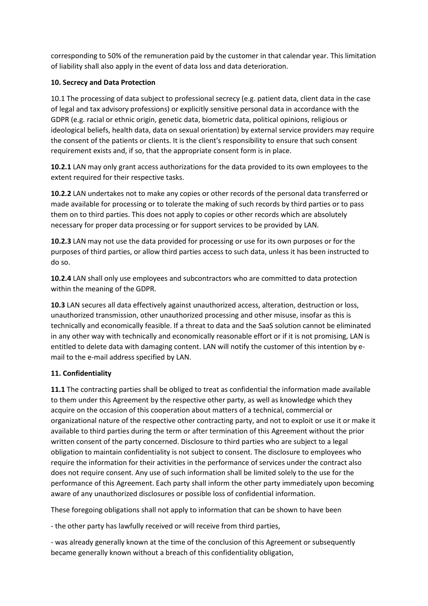corresponding to 50% of the remuneration paid by the customer in that calendar year. This limitation of liability shall also apply in the event of data loss and data deterioration.

## **10. Secrecy and Data Protection**

10.1 The processing of data subject to professional secrecy (e.g. patient data, client data in the case of legal and tax advisory professions) or explicitly sensitive personal data in accordance with the GDPR (e.g. racial or ethnic origin, genetic data, biometric data, political opinions, religious or ideological beliefs, health data, data on sexual orientation) by external service providers may require the consent of the patients or clients. It is the client's responsibility to ensure that such consent requirement exists and, if so, that the appropriate consent form is in place.

**10.2.1** LAN may only grant access authorizations for the data provided to its own employees to the extent required for their respective tasks.

**10.2.2** LAN undertakes not to make any copies or other records of the personal data transferred or made available for processing or to tolerate the making of such records by third parties or to pass them on to third parties. This does not apply to copies or other records which are absolutely necessary for proper data processing or for support services to be provided by LAN.

**10.2.3** LAN may not use the data provided for processing or use for its own purposes or for the purposes of third parties, or allow third parties access to such data, unless it has been instructed to do so.

**10.2.4** LAN shall only use employees and subcontractors who are committed to data protection within the meaning of the GDPR.

**10.3** LAN secures all data effectively against unauthorized access, alteration, destruction or loss, unauthorized transmission, other unauthorized processing and other misuse, insofar as this is technically and economically feasible. If a threat to data and the SaaS solution cannot be eliminated in any other way with technically and economically reasonable effort or if it is not promising, LAN is entitled to delete data with damaging content. LAN will notify the customer of this intention by email to the e-mail address specified by LAN.

## **11. Confidentiality**

**11.1** The contracting parties shall be obliged to treat as confidential the information made available to them under this Agreement by the respective other party, as well as knowledge which they acquire on the occasion of this cooperation about matters of a technical, commercial or organizational nature of the respective other contracting party, and not to exploit or use it or make it available to third parties during the term or after termination of this Agreement without the prior written consent of the party concerned. Disclosure to third parties who are subject to a legal obligation to maintain confidentiality is not subject to consent. The disclosure to employees who require the information for their activities in the performance of services under the contract also does not require consent. Any use of such information shall be limited solely to the use for the performance of this Agreement. Each party shall inform the other party immediately upon becoming aware of any unauthorized disclosures or possible loss of confidential information.

These foregoing obligations shall not apply to information that can be shown to have been

- the other party has lawfully received or will receive from third parties,

- was already generally known at the time of the conclusion of this Agreement or subsequently became generally known without a breach of this confidentiality obligation,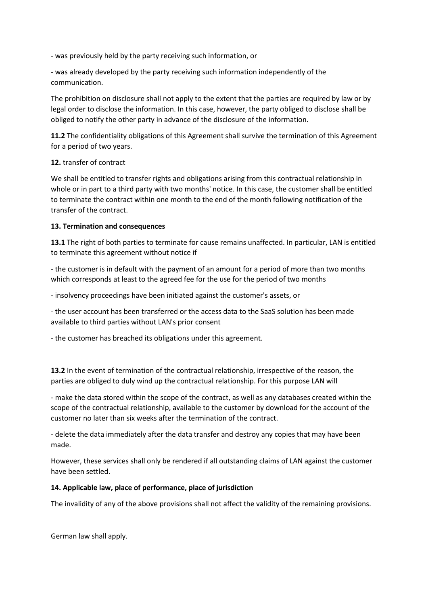- was previously held by the party receiving such information, or

- was already developed by the party receiving such information independently of the communication.

The prohibition on disclosure shall not apply to the extent that the parties are required by law or by legal order to disclose the information. In this case, however, the party obliged to disclose shall be obliged to notify the other party in advance of the disclosure of the information.

**11.2** The confidentiality obligations of this Agreement shall survive the termination of this Agreement for a period of two years.

#### **12.** transfer of contract

We shall be entitled to transfer rights and obligations arising from this contractual relationship in whole or in part to a third party with two months' notice. In this case, the customer shall be entitled to terminate the contract within one month to the end of the month following notification of the transfer of the contract.

#### **13. Termination and consequences**

**13.1** The right of both parties to terminate for cause remains unaffected. In particular, LAN is entitled to terminate this agreement without notice if

- the customer is in default with the payment of an amount for a period of more than two months which corresponds at least to the agreed fee for the use for the period of two months

- insolvency proceedings have been initiated against the customer's assets, or

- the user account has been transferred or the access data to the SaaS solution has been made available to third parties without LAN's prior consent

- the customer has breached its obligations under this agreement.

**13.2** In the event of termination of the contractual relationship, irrespective of the reason, the parties are obliged to duly wind up the contractual relationship. For this purpose LAN will

- make the data stored within the scope of the contract, as well as any databases created within the scope of the contractual relationship, available to the customer by download for the account of the customer no later than six weeks after the termination of the contract.

- delete the data immediately after the data transfer and destroy any copies that may have been made.

However, these services shall only be rendered if all outstanding claims of LAN against the customer have been settled.

#### **14. Applicable law, place of performance, place of jurisdiction**

The invalidity of any of the above provisions shall not affect the validity of the remaining provisions.

German law shall apply.